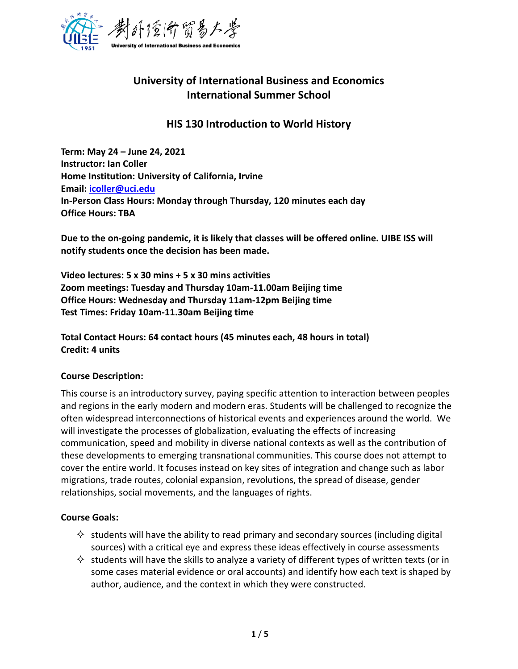

# **University of International Business and Economics International Summer School**

# **HIS 130 Introduction to World History**

**Term: May 24 – June 24, 2021 Instructor: Ian Coller Home Institution: University of California, Irvine Email: [icoller@uci.edu](mailto:icoller@uci.edu) In-Person Class Hours: Monday through Thursday, 120 minutes each day Office Hours: TBA**

**Due to the on-going pandemic, it is likely that classes will be offered online. UIBE ISS will notify students once the decision has been made.**

**Video lectures: 5 x 30 mins + 5 x 30 mins activities Zoom meetings: Tuesday and Thursday 10am-11.00am Beijing time Office Hours: Wednesday and Thursday 11am-12pm Beijing time Test Times: Friday 10am-11.30am Beijing time**

**Total Contact Hours: 64 contact hours (45 minutes each, 48 hours in total) Credit: 4 units**

#### **Course Description:**

This course is an introductory survey, paying specific attention to interaction between peoples and regions in the early modern and modern eras. Students will be challenged to recognize the often widespread interconnections of historical events and experiences around the world. We will investigate the processes of globalization, evaluating the effects of increasing communication, speed and mobility in diverse national contexts as well as the contribution of these developments to emerging transnational communities. This course does not attempt to cover the entire world. It focuses instead on key sites of integration and change such as labor migrations, trade routes, colonial expansion, revolutions, the spread of disease, gender relationships, social movements, and the languages of rights.

# **Course Goals:**

- $\Diamond$  students will have the ability to read primary and secondary sources (including digital sources) with a critical eye and express these ideas effectively in course assessments
- $\Diamond$  students will have the skills to analyze a variety of different types of written texts (or in some cases material evidence or oral accounts) and identify how each text is shaped by author, audience, and the context in which they were constructed.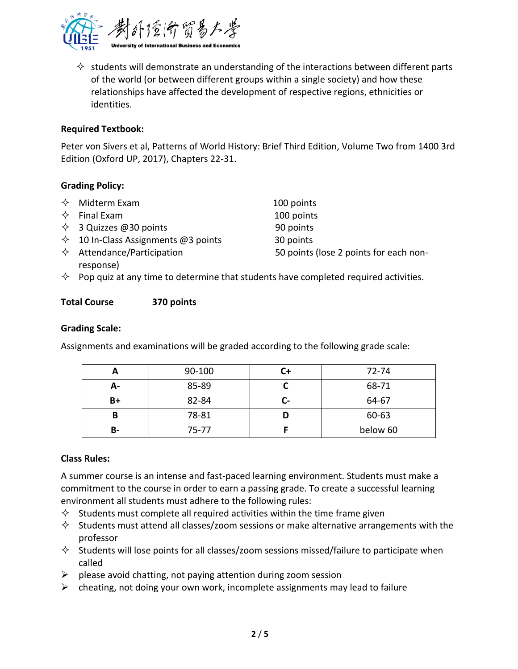

 $\Diamond$  students will demonstrate an understanding of the interactions between different parts of the world (or between different groups within a single society) and how these relationships have affected the development of respective regions, ethnicities or identities.

#### **Required Textbook:**

Peter von Sivers et al, Patterns of World History: Brief Third Edition, Volume Two from 1400 3rd Edition (Oxford UP, 2017), Chapters 22-31.

#### **Grading Policy:**

| $\Leftrightarrow$ Midterm Exam             | 100 points                             |
|--------------------------------------------|----------------------------------------|
| $\Leftrightarrow$ Final Exam               | 100 points                             |
| $\diamond$ 3 Quizzes @30 points            | 90 points                              |
| $\div$ 10 In-Class Assignments @3 points   | 30 points                              |
| $\Leftrightarrow$ Attendance/Participation | 50 points (lose 2 points for each non- |
| response)                                  |                                        |

 $\diamond$  Pop quiz at any time to determine that students have completed required activities.

#### **Total Course 370 points**

#### **Grading Scale:**

Assignments and examinations will be graded according to the following grade scale:

|           | 90-100 |    | 72-74    |
|-----------|--------|----|----------|
| А-        | 85-89  |    | 68-71    |
| B+        | 82-84  | ۰. | 64-67    |
|           | 78-81  |    | 60-63    |
| <b>B-</b> | 75-77  |    | below 60 |

#### **Class Rules:**

A summer course is an intense and fast-paced learning environment. Students must make a commitment to the course in order to earn a passing grade. To create a successful learning environment all students must adhere to the following rules:

- $\Diamond$  Students must complete all required activities within the time frame given
- $\diamond$  Students must attend all classes/zoom sessions or make alternative arrangements with the professor
- $\diamond$  Students will lose points for all classes/zoom sessions missed/failure to participate when called
- $\triangleright$  please avoid chatting, not paying attention during zoom session
- $\triangleright$  cheating, not doing your own work, incomplete assignments may lead to failure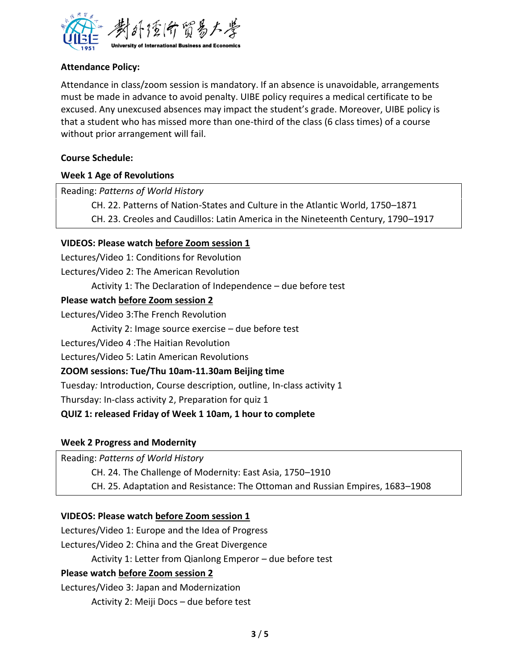

# **Attendance Policy:**

Attendance in class/zoom session is mandatory. If an absence is unavoidable, arrangements must be made in advance to avoid penalty. UIBE policy requires a medical certificate to be excused. Any unexcused absences may impact the student's grade. Moreover, UIBE policy is that a student who has missed more than one-third of the class (6 class times) of a course without prior arrangement will fail.

### **Course Schedule:**

### **Week 1 Age of Revolutions**

Reading: *Patterns of World History*

CH. 22. Patterns of Nation-States and Culture in the Atlantic World, 1750–1871

CH. 23. Creoles and Caudillos: Latin America in the Nineteenth Century, 1790–1917

### **VIDEOS: Please watch before Zoom session 1**

Lectures/Video 1: Conditions for Revolution Lectures/Video 2: The American Revolution Activity 1: The Declaration of Independence – due before test **Please watch before Zoom session 2** Lectures/Video 3:The French Revolution Activity 2: Image source exercise – due before test Lectures/Video 4 :The Haitian Revolution Lectures/Video 5: Latin American Revolutions **ZOOM sessions: Tue/Thu 10am-11.30am Beijing time** Tuesday*:* Introduction, Course description, outline, In-class activity 1 Thursday: In-class activity 2, Preparation for quiz 1 **QUIZ 1: released Friday of Week 1 10am, 1 hour to complete** 

# **Week 2 Progress and Modernity**

Reading: *Patterns of World History*

CH. 24. The Challenge of Modernity: East Asia, 1750–1910

CH. 25. Adaptation and Resistance: The Ottoman and Russian Empires, 1683–1908

# **VIDEOS: Please watch before Zoom session 1**

Lectures/Video 1: Europe and the Idea of Progress Lectures/Video 2: China and the Great Divergence Activity 1: Letter from Qianlong Emperor – due before test **Please watch before Zoom session 2** Lectures/Video 3: Japan and Modernization

Activity 2: Meiji Docs – due before test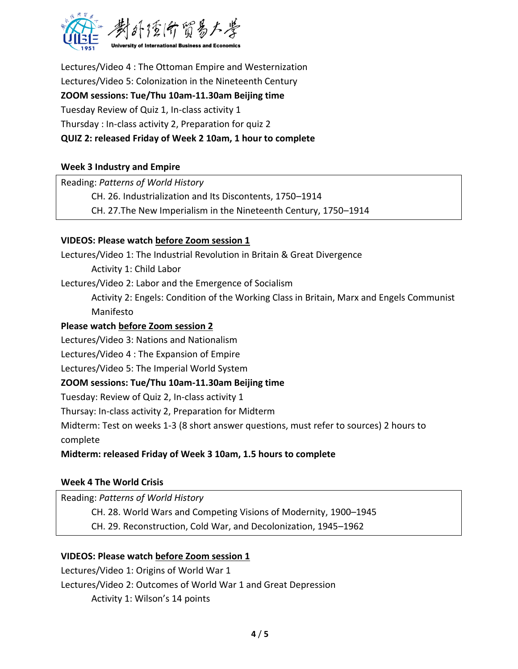

Lectures/Video 4 : The Ottoman Empire and Westernization Lectures/Video 5: Colonization in the Nineteenth Century **ZOOM sessions: Tue/Thu 10am-11.30am Beijing time** Tuesday Review of Quiz 1, In-class activity 1 Thursday : In-class activity 2, Preparation for quiz 2 **QUIZ 2: released Friday of Week 2 10am, 1 hour to complete**

# **Week 3 Industry and Empire**

Reading: *Patterns of World History*

CH. 26. Industrialization and Its Discontents, 1750–1914

CH. 27.The New Imperialism in the Nineteenth Century, 1750–1914

### **VIDEOS: Please watch before Zoom session 1**

Lectures/Video 1: The Industrial Revolution in Britain & Great Divergence

Activity 1: Child Labor

Lectures/Video 2: Labor and the Emergence of Socialism

Activity 2: Engels: Condition of the Working Class in Britain, Marx and Engels Communist Manifesto

### **Please watch before Zoom session 2**

Lectures/Video 3: Nations and Nationalism

Lectures/Video 4 : The Expansion of Empire

Lectures/Video 5: The Imperial World System

# **ZOOM sessions: Tue/Thu 10am-11.30am Beijing time**

Tuesday: Review of Quiz 2, In-class activity 1

Thursay: In-class activity 2, Preparation for Midterm

Midterm: Test on weeks 1-3 (8 short answer questions, must refer to sources) 2 hours to

complete

# **Midterm: released Friday of Week 3 10am, 1.5 hours to complete**

#### **Week 4 The World Crisis**

Reading: *Patterns of World History*

CH. 28. World Wars and Competing Visions of Modernity, 1900–1945

CH. 29. Reconstruction, Cold War, and Decolonization, 1945–1962

#### **VIDEOS: Please watch before Zoom session 1**

Lectures/Video 1: Origins of World War 1 Lectures/Video 2: Outcomes of World War 1 and Great Depression Activity 1: Wilson's 14 points